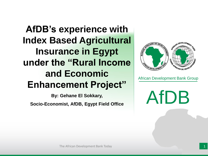**AfDB's experience with Index Based Agricultural Insurance in Egypt under the "Rural Income and Economic Enhancement Project"**

**By: Gehane El Sokkary, Socio-Economist, AfDB, Egypt Field Office** 



African Development Bank Group

AfDB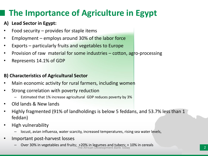## **The Importance of Agriculture in Egypt**

#### **A) Lead Sector in Egypt:**

- Food security  $-$  provides for staple items
- Employment employs around 30% of the labor force
- Exports particularly fruits and vegetables to Europe
- Provision of raw material for some industries cotton, agro-processing
- Represents 14.1% of GDP

#### **B) Characteristics of Agricultural Sector**

- Main economic activity for rural farmers, including women
- Strong correlation with poverty reduction
	- Estimated that 1% increase agricultural GDP reduces poverty by 3%
- Old lands & New lands
- Highly fragmented (91% of landholdings is below 5 feddans, and 53.7% less than 1 feddan)
- High vulnerability
	- locust, avian influenza, water scarcity, increased temperatures, rising sea water levels,
- Important post-harvest losses
	- Over 30% in vegetables and fruits; +20% in legumes and tubers; + 10% in cereals The African Development Bank Today 2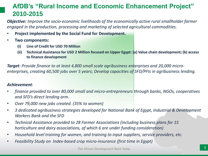#### **AfDB's "Rural Income and Economic Enhancement Project" 2010-2015**

*Objective: Improve the socio-economic livelihoods of the economically active rural smallholder farmer engaged in the production, processing and marketing of selected agricultural commodities.*

- **Project implemented by the Social Fund for Development.**
- **Two components:** 
	- **(i) Line of Credit for USD 70 Million**
	- **(ii) Technical Assistance for USD 2 Million focused on Upper Egypt: (a) Value chain development; (b) access to finance development**

*Target: Provide finance to at least 4,800 small scale agribusiness enterprises and 20,000 microenterprises, creating 60,500 jobs over 5 years; Develop capacities of SFD/PFIs in agribusiness lending.*

#### *Achievement:*

- *finance provided to over 80,000 small and micro-entrepreneurs through banks, NGOs, cooperatives and SFD's direct lending arm.*
- *Over 79,000 new jobs created. (35% to women)*
- *3 dedicated agribusiness strategies developed for National Bank of Egypt, Industrial & Development Workers Bank and the SFD*
- *Technical Assistance provided to 28 Farmer Associations (including business plans for 15 horticulture and dairy associations, of which 6 are under funding consideration)*
- *Household level training for women, and training to input suppliers, service providers, etc.*
- *Feasibility Study on Index-based crop micro-insurance (first time in Egypt)*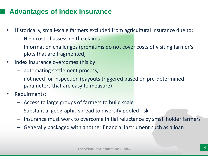### **Advantages of Index Insurance**

- Historically, small-scale farmers excluded from agricultural insurance due to:
	- High cost of assessing the claims
	- Information challenges (premiums do not cover costs of visiting farmer's plots that are fragmented)
- Index insurance overcomes this by:
	- automating settlement process,
	- not need for inspection (payouts triggered based on pre-determined parameters that are easy to measure)
- Requirments:
	- Access to large groups of farmers to build scale
	- Substantial geographic spread to diversify pooled risk
	- Insurance must work to overcome initial reluctance by small holder farmers
	- Generally packaged with another financial instrument such as a loan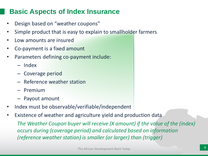### **Basic Aspects of Index Insurance**

- Design based on "weather coupons"
- Simple product that is easy to explain to smallholder farmers
- Low amounts are insured
- Co-payment is a fixed amount
- Parameters defining co-payment include:
	- Index
	- Coverage period
	- Reference weather station
	- Premium
	- Payout amount
- Index must be observable/verifiable/independent
- Existence of weather and agriculture yield and production data

*The Weather Coupon buyer will receive (X amount) if the value of the (index) occurs during (coverage period) and calculated based on information (reference weather station) is smaller (or larger) than (trigger)*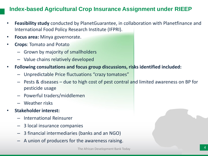#### **Index-based Agricultural Crop Insurance Assignment under RIEEP**

- **Feasibility study** conducted by PlanetGuarantee, in collaboration with Planetfinance and International Food Policy Research Institute (IFPRI).
- **Focus area:** Minya governorate.
- **Crops**: Tomato and Potato
	- Grown by majority of smallholders
	- Value chains relatively developed
- **Following consultations and focus group discussions, risks identified included:**
	- Unpredictable Price fluctuations "crazy tomatoes"
	- Pests & diseases due to high cost of pest contral and limited awareness on BP for pesticide usage
	- Powerful traders/middlemen
	- Weather risks
- **Stakeholder interest:**
	- International Reinsurer
	- 3 local insurance companies
	- 3 financial intermediaries (banks and an NGO)
	- A union of producers for the awareness raising.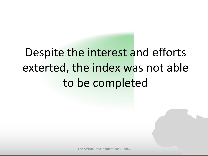# Despite the interest and efforts exterted, the index was not able to be completed

The African Development Bank Today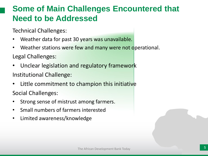## **Some of Main Challenges Encountered that Need to be Addressed**

Technical Challenges:

- Weather data for past 30 years was unavailable.
- Weather stations were few and many were not operational.

Legal Challenges:

- Unclear legislation and regulatory framework Institutional Challenge:
- Little commitment to champion this initiative Social Challenges:
- Strong sense of mistrust among farmers.
- Small numbers of farmers interested
- Limited awareness/knowledge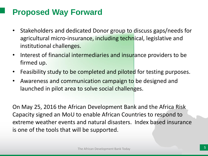## **Proposed Way Forward**

- Stakeholders and dedicated Donor group to discuss gaps/needs for agricultural micro-insurance, including technical, legislative and institutional challenges.
- Interest of financial intermediaries and insurance providers to be firmed up.
- Feasibility study to be completed and piloted for testing purposes.
- Awareness and communication campaign to be designed and launched in pilot area to solve social challenges.

On May 25, 2016 the African Development Bank and the Africa Risk Capacity signed an MoU to enable African Countries to respond to extreme weather events and natural disasters. Index based insurance is one of the tools that will be supported.